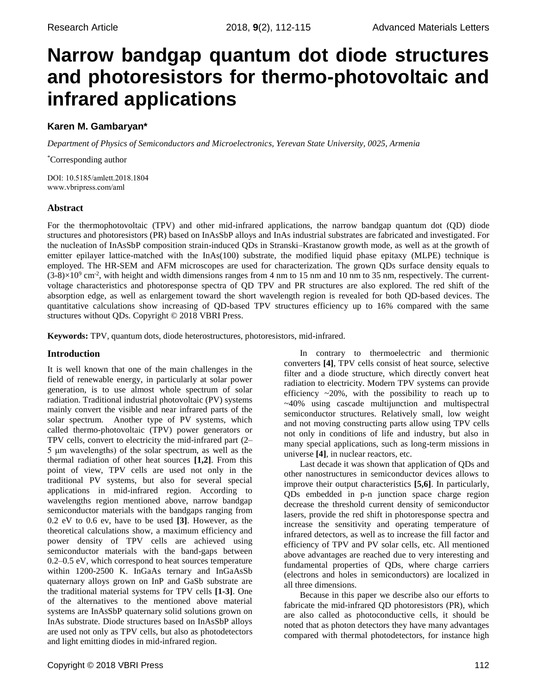# **Narrow bandgap quantum dot diode structures and photoresistors for thermo-photovoltaic and infrared applications**

# **Karen M. Gambaryan\***

*Department of Physics of Semiconductors and Microelectronics, Yerevan State University, 0025, Armenia* 

\*Corresponding author

DOI: 10.5185/amlett.2018.1804 [www.vbripress.com/aml](http://www.vbripress.com/aml)

# **Abstract**

For the thermophotovoltaic (TPV) and other mid-infrared applications, the narrow bandgap quantum dot (QD) diode structures and photoresistors (PR) based on InAsSbP alloys and InAs industrial substrates are fabricated and investigated. For the nucleation of InAsSbP composition strain-induced QDs in Stranski–Krastanow growth mode, as well as at the growth of emitter epilayer lattice-matched with the InAs(100) substrate, the modified liquid phase epitaxy (MLPE) technique is employed. The HR-SEM and AFM microscopes are used for characterization. The grown QDs surface density equals to  $(3-8) \times 10^9$  cm<sup>-2</sup>, with height and width dimensions ranges from 4 nm to 15 nm and 10 nm to 35 nm, respectively. The currentvoltage characteristics and photoresponse spectra of QD TPV and PR structures are also explored. The red shift of the absorption edge, as well as enlargement toward the short wavelength region is revealed for both QD-based devices. The quantitative calculations show increasing of QD-based TPV structures efficiency up to 16% compared with the same structures without QDs. Copyright © 2018 VBRI Press.

**Keywords:** TPV, quantum dots, diode heterostructures, photoresistors, mid-infrared.

# **Introduction**

It is well known that one of the main challenges in the field of renewable energy, in particularly at solar power generation, is to use almost whole spectrum of solar radiation. Traditional industrial photovoltaic (PV) systems mainly convert the visible and near infrared parts of the solar spectrum. Another type of PV systems, which called thermo-photovoltaic (TPV) power generators or TPV cells, convert to electricity the mid-infrared part (2– 5 μm wavelengths) of the solar spectrum, as well as the thermal radiation of other heat sources **[1,2]**. From this point of view, TPV cells are used not only in the traditional PV systems, but also for several special applications in mid-infrared region. According to wavelengths region mentioned above, narrow bandgap semiconductor materials with the bandgaps ranging from 0.2 eV to 0.6 ev, have to be used **[3]**. However, as the theoretical calculations show, a maximum efficiency and power density of TPV cells are achieved using semiconductor materials with the band-gaps between 0.2–0.5 eV, which correspond to heat sources temperature within 1200-2500 K. InGaAs ternary and InGaAsSb quaternary alloys grown on InP and GaSb substrate are the traditional material systems for TPV cells **[1-3]**. One of the alternatives to the mentioned above material systems are InAsSbP quaternary solid solutions grown on InAs substrate. Diode structures based on InAsSbP alloys are used not only as TPV cells, but also as photodetectors and light emitting diodes in mid-infrared region.

In contrary to thermoelectric and thermionic converters **[4]**, TPV cells consist of heat source, selective filter and a diode structure, which directly convert heat radiation to electricity. Modern TPV systems can provide efficiency  $\sim$ 20%, with the possibility to reach up to ~40% using cascade multijunction and multispectral semiconductor structures. Relatively small, low weight and not moving constructing parts allow using TPV cells not only in conditions of life and industry, but also in many special applications, such as long-term missions in universe **[4]**, in nuclear reactors, etc.

Last decade it was shown that application of QDs and other nanostructures in semiconductor devices allows to improve their output characteristics **[5,6]**. In particularly, QDs embedded in p-n junction space charge region decrease the threshold current density of semiconductor lasers, provide the red shift in photoresponse spectra and increase the sensitivity and operating temperature of infrared detectors, as well as to increase the fill factor and efficiency of TPV and PV solar cells, etc. All mentioned above advantages are reached due to very interesting and fundamental properties of QDs, where charge carriers (electrons and holes in semiconductors) are localized in all three dimensions.

Because in this paper we describe also our efforts to fabricate the mid-infrared QD photoresistors (PR), which are also called as photoconductive cells, it should be noted that as photon detectors they have many advantages compared with thermal photodetectors, for instance high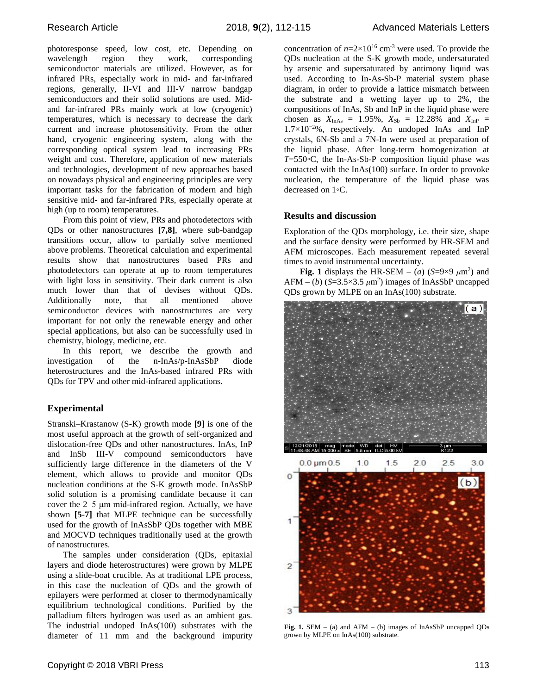photoresponse speed, low cost, etc. Depending on wavelength region they work, corresponding semiconductor materials are utilized. However, as for infrared PRs, especially work in mid- and far-infrared regions, generally, II-VI and III-V narrow bandgap semiconductors and their solid solutions are used. Midand far-infrared PRs mainly work at low (cryogenic) temperatures, which is necessary to decrease the dark current and increase photosensitivity. From the other hand, cryogenic engineering system, along with the corresponding optical system lead to increasing PRs weight and cost. Therefore, application of new materials and technologies, development of new approaches based on nowadays physical and engineering principles are very important tasks for the fabrication of modern and high sensitive mid- and far-infrared PRs, especially operate at high (up to room) temperatures.

From this point of view, PRs and photodetectors with QDs or other nanostructures **[7,8]**, where sub-bandgap transitions occur, allow to partially solve mentioned above problems. Theoretical calculation and experimental results show that nanostructures based PRs and photodetectors can operate at up to room temperatures with light loss in sensitivity. Their dark current is also much lower than that of devises without QDs. Additionally note, that all mentioned above semiconductor devices with nanostructures are very important for not only the renewable energy and other special applications, but also can be successfully used in chemistry, biology, medicine, etc.

In this report, we describe the growth and investigation of the n-InAs/p-InAsSbP diode heterostructures and the InAs-based infrared PRs with QDs for TPV and other mid-infrared applications.

## **Experimental**

Stranski–Krastanow (S-K) growth mode **[9]** is one of the most useful approach at the growth of self-organized and dislocation-free QDs and other nanostructures. InAs, InP and InSb III-V compound semiconductors have sufficiently large difference in the diameters of the V element, which allows to provide and monitor QDs nucleation conditions at the S-K growth mode. InAsSbP solid solution is a promising candidate because it can cover the 2–5 μm mid-infrared region. Actually, we have shown **[5-7]** that MLPE technique can be successfully used for the growth of InAsSbP QDs together with MBE and MOCVD techniques traditionally used at the growth of nanostructures.

The samples under consideration (QDs, epitaxial layers and diode heterostructures) were grown by MLPE using a slide-boat crucible. As at traditional LPE process, in this case the nucleation of QDs and the growth of epilayers were performed at closer to thermodynamically equilibrium technological conditions. Purified by the palladium filters hydrogen was used as an ambient gas. The industrial undoped InAs(100) substrates with the diameter of 11 mm and the background impurity

concentration of  $n=2\times10^{16}$  cm<sup>-3</sup> were used. To provide the QDs nucleation at the S-K growth mode, undersaturated by arsenic and supersaturated by antimony liquid was used. According to In-As-Sb-P material system phase diagram, in order to provide a lattice mismatch between the substrate and a wetting layer up to 2%, the compositions of InAs, Sb and InP in the liquid phase were chosen as  $X_{InAs} = 1.95\%$ ,  $X_{Sb} = 12.28\%$  and  $X_{InP} =$ 1*.*7×10−2%, respectively. An undoped InAs and InP crystals, 6N-Sb and a 7N-In were used at preparation of the liquid phase. After long-term homogenization at *T*=550◦C, the In-As-Sb-P composition liquid phase was contacted with the InAs(100) surface. In order to provoke nucleation, the temperature of the liquid phase was decreased on 1◦C.

### **Results and discussion**

Exploration of the QDs morphology, i.e. their size, shape and the surface density were performed by HR-SEM and AFM microscopes. Each measurement repeated several times to avoid instrumental uncertainty.

**Fig. 1** displays the HR-SEM – (*a*) (*S*=9×9  $\mu$ m<sup>2</sup>) and  $AFM - (b)$  ( $S = 3.5 \times 3.5 \ \mu m^2$ ) images of InAsSbP uncapped QDs grown by MLPE on an InAs(100) substrate.



**Fig. 1.** SEM – (a) and AFM – (b) images of InAsSbP uncapped QDs grown by MLPE on InAs(100) substrate.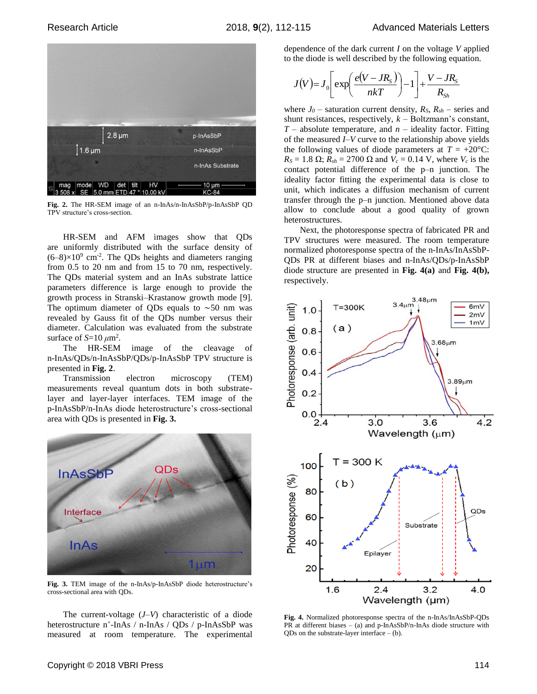

**Fig. 2.** The HR-SEM image of an n-InAs/n-InAsSbP/p-InAsSbP QD TPV structure's cross-section.

HR-SEM and AFM images show that QDs are uniformly distributed with the surface density of  $(6-8) \times 10^9$  cm<sup>-2</sup>. The QDs heights and diameters ranging from 0.5 to 20 nm and from 15 to 70 nm, respectively. The QDs material system and an InAs substrate lattice parameters difference is large enough to provide the growth process in Stranski–Krastanow growth mode [9]. The optimum diameter of QDs equals to ∼50 nm was revealed by Gauss fit of the QDs number versus their diameter. Calculation was evaluated from the substrate surface of  $S=10 \ \mu \text{m}^2$ .

The HR-SEM image of the cleavage of n-InAs/QDs/n-InAsSbP/QDs/p-InAsSbP TPV structure is presented in **Fig. 2**.

Transmission electron microscopy (TEM) measurements reveal quantum dots in both substratelayer and layer-layer interfaces. TEM image of the p-InAsSbP/n-InAs diode heterostructure's cross-sectional area with QDs is presented in **Fig. 3.**



**Fig. 3.** TEM image of the n-InAs/p-InAsSbP diode heterostructure's cross-sectional area with QDs.

The current-voltage (*J–V*) characteristic of a diode heterostructure n<sup>+</sup>-InAs / n-InAs / QDs / p-InAsSbP was measured at room temperature. The experimental dependence of the dark current *I* on the voltage *V* applied to the diode is well described by the following equation.

$$
J(V) = J_0 \left[ exp\left(\frac{e(V - JR_s)}{nkT}\right) - 1\right] + \frac{V - JR_s}{R_{Sh}}
$$

where  $J_0$  – saturation current density,  $R_S$ ,  $R_{sh}$  – series and shunt resistances, respectively, *k* – Boltzmann's constant, *T* – absolute temperature, and *n* – ideality factor. Fitting of the measured *I–V* curve to the relationship above yields the following values of diode parameters at  $T = +20^{\circ}$ C:  $R_S = 1.8 \Omega$ ;  $R_{sh} = 2700 \Omega$  and  $V_c = 0.14 \text{ V}$ , where  $V_c$  is the contact potential difference of the p–n junction. The ideality factor fitting the experimental data is close to unit, which indicates a diffusion mechanism of current transfer through the p–n junction. Mentioned above data allow to conclude about a good quality of grown heterostructures.

Next, the photoresponse spectra of fabricated PR and TPV structures were measured. The room temperature normalized photoresponse spectra of the n-InAs/InAsSbP-QDs PR at different biases and n-InAs/QDs/p-InAsSbP diode structure are presented in **Fig. 4(a)** and **Fig. 4(b),** respectively.



**Fig. 4.** Normalized photoresponse spectra of the n-InAs/InAsSbP-QDs PR at different biases – (a) and p-InAsSbP/n-InAs diode structure with  $QDs$  on the substrate-layer interface  $-$  (b).